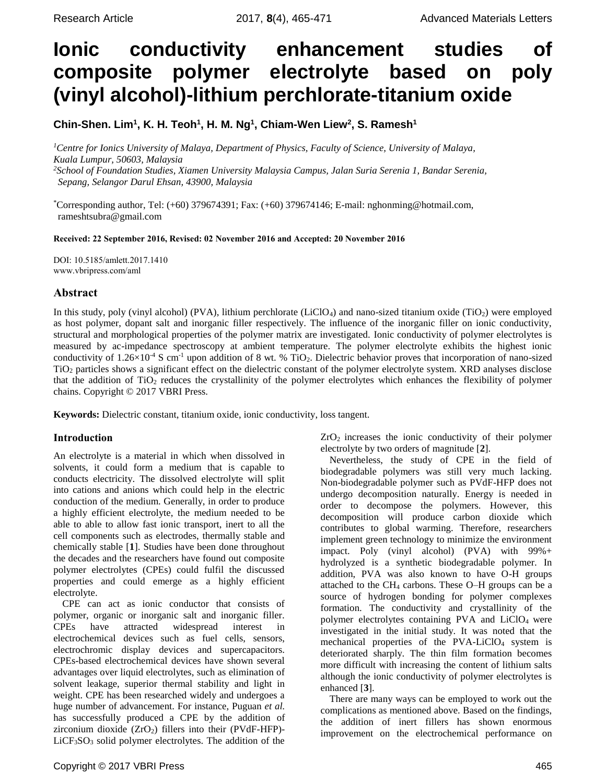# **Ionic conductivity enhancement studies of composite polymer electrolyte based on poly (vinyl alcohol)-lithium perchlorate-titanium oxide**

**Chin-Shen. Lim<sup>1</sup> , K. H. Teoh<sup>1</sup> , H. M. Ng<sup>1</sup> , Chiam-Wen Liew<sup>2</sup> , S. Ramesh<sup>1</sup>**

*<sup>1</sup>Centre for Ionics University of Malaya, Department of Physics, Faculty of Science, University of Malaya, Kuala Lumpur, 50603, Malaysia*

*<sup>2</sup>School of Foundation Studies, Xiamen University Malaysia Campus, Jalan Suria Serenia 1, Bandar Serenia, Sepang, Selangor Darul Ehsan, 43900, Malaysia*

\*Corresponding author, Tel: (+60) 379674391; Fax: (+60) 379674146; E-mail: nghonming@hotmail.com, rameshtsubra@gmail.com

Received: 22 September 2016, Revised: 02 November 2016 and Accepted: 20 November 2016

DOI: 10.5185/amlett.2017.1410 www.vbripress.com/aml

# Abstract

In this study, poly (vinyl alcohol) (PVA), lithium perchlorate (LiClO<sub>4</sub>) and nano-sized titanium oxide (TiO<sub>2</sub>) were employed as host polymer, dopant salt and inorganic filler respectively. The influence of the inorganic filler on ionic conductivity, structural and morphological properties of the polymer matrix are investigated. Ionic conductivity of polymer electrolytes is measured by ac-impedance spectroscopy at ambient temperature. The polymer electrolyte exhibits the highest ionic conductivity of  $1.26\times10^{-4}$  S cm<sup>-1</sup> upon addition of 8 wt. % TiO<sub>2</sub>. Dielectric behavior proves that incorporation of nano-sized TiO<sup>2</sup> particles shows a significant effect on the dielectric constant of the polymer electrolyte system. XRD analyses disclose that the addition of TiO<sup>2</sup> reduces the crystallinity of the polymer electrolytes which enhances the flexibility of polymer chains. Copyright © 2017 VBRI Press.

**Keywords:** Dielectric constant, titanium oxide, ionic conductivity, loss tangent.

# Introduction

An electrolyte is a material in which when dissolved in solvents, it could form a medium that is capable to conducts electricity. The dissolved electrolyte will split into cations and anions which could help in the electric conduction of the medium. Generally, in order to produce a highly efficient electrolyte, the medium needed to be able to able to allow fast ionic transport, inert to all the cell components such as electrodes, thermally stable and chemically stable [**1**]. Studies have been done throughout the decades and the researchers have found out composite polymer electrolytes (CPEs) could fulfil the discussed properties and could emerge as a highly efficient electrolyte.

CPE can act as ionic conductor that consists of polymer, organic or inorganic salt and inorganic filler. CPEs have attracted widespread interest in electrochemical devices such as fuel cells, sensors, electrochromic display devices and supercapacitors. CPEs-based electrochemical devices have shown several advantages over liquid electrolytes, such as elimination of solvent leakage, superior thermal stability and light in weight. CPE has been researched widely and undergoes a huge number of advancement. For instance, Puguan *et al.* has successfully produced a CPE by the addition of zirconium dioxide  $(ZrO<sub>2</sub>)$  fillers into their (PVdF-HFP)-LiCF3SO<sup>3</sup> solid polymer electrolytes. The addition of the

Copyright © 2017 VBRI Press 465

 $ZrO<sub>2</sub>$  increases the ionic conductivity of their polymer electrolyte by two orders of magnitude [**2**].

Nevertheless, the study of CPE in the field of biodegradable polymers was still very much lacking. Non-biodegradable polymer such as PVdF-HFP does not undergo decomposition naturally. Energy is needed in order to decompose the polymers. However, this decomposition will produce carbon dioxide which contributes to global warming. Therefore, researchers implement green technology to minimize the environment impact. Poly (vinyl alcohol) (PVA) with 99%+ hydrolyzed is a synthetic biodegradable polymer. In addition, PVA was also known to have O-H groups attached to the  $CH_4$  carbons. These O–H groups can be a source of hydrogen bonding for polymer complexes formation. The conductivity and crystallinity of the polymer electrolytes containing PVA and LiClO<sub>4</sub> were investigated in the initial study. It was noted that the mechanical properties of the PVA-LiClO<sup>4</sup> system is deteriorated sharply. The thin film formation becomes more difficult with increasing the content of lithium salts although the ionic conductivity of polymer electrolytes is enhanced [**3**].

There are many ways can be employed to work out the complications as mentioned above. Based on the findings, the addition of inert fillers has shown enormous improvement on the electrochemical performance on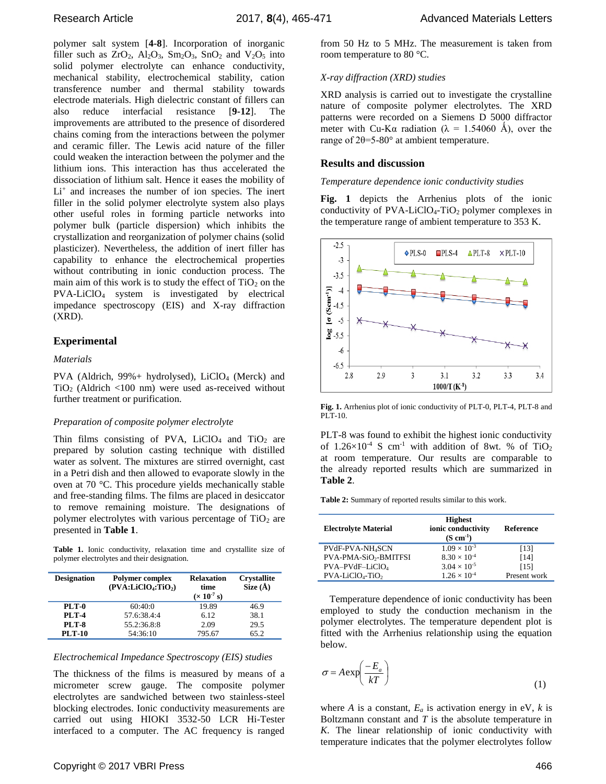polymer salt system [**4-8**]. Incorporation of inorganic filler such as  $ZrO_2$ ,  $Al_2O_3$ ,  $Sm_2O_3$ ,  $SnO_2$  and  $V_2O_5$  into solid polymer electrolyte can enhance conductivity, mechanical stability, electrochemical stability, cation transference number and thermal stability towards electrode materials. High dielectric constant of fillers can also reduce interfacial resistance [**9-12**]. The improvements are attributed to the presence of disordered chains coming from the interactions between the polymer and ceramic filler. The Lewis acid nature of the filler could weaken the interaction between the polymer and the lithium ions. This interaction has thus accelerated the dissociation of lithium salt. Hence it eases the mobility of Li<sup>+</sup> and increases the number of ion species. The inert filler in the solid polymer electrolyte system also plays other useful roles in forming particle networks into polymer bulk (particle dispersion) which inhibits the crystallization and reorganization of polymer chains (solid plasticizer). Nevertheless, the addition of inert filler has capability to enhance the electrochemical properties without contributing in ionic conduction process. The main aim of this work is to study the effect of  $TiO<sub>2</sub>$  on the PVA-LiClO<sup>4</sup> system is investigated by electrical impedance spectroscopy (EIS) and X-ray diffraction (XRD).

# **Experimental**

# *Materials*

PVA (Aldrich, 99%+ hydrolysed), LiClO<sub>4</sub> (Merck) and  $TiO<sub>2</sub>$  (Aldrich <100 nm) were used as-received without further treatment or purification.

# *Preparation of composite polymer electrolyte*

Thin films consisting of PVA,  $LiClO<sub>4</sub>$  and TiO<sub>2</sub> are prepared by solution casting technique with distilled water as solvent. The mixtures are stirred overnight, cast in a Petri dish and then allowed to evaporate slowly in the oven at 70 °C. This procedure yields mechanically stable and free-standing films. The films are placed in desiccator to remove remaining moisture. The designations of polymer electrolytes with various percentage of  $TiO<sub>2</sub>$  are presented in **Table 1**.

**Table 1.** Ionic conductivity, relaxation time and crystallite size of polymer electrolytes and their designation.

| <b>Designation</b> | <b>Polymer complex</b><br>$(PVA: LiClO4:TiO2)$ | <b>Relaxation</b><br>time<br>$(x 10^{-7} s)$ | <b>Crystallite</b><br>Size $(\AA)$ |
|--------------------|------------------------------------------------|----------------------------------------------|------------------------------------|
| PLT-0              | 60:40:0                                        | 19.89                                        | 46.9                               |
| <b>PLT-4</b>       | 57.6:38.4:4                                    | 6.12                                         | 38.1                               |
| <b>PLT-8</b>       | 55.2:36.8:8                                    | 2.09                                         | 29.5                               |
| <b>PLT-10</b>      | 54:36:10                                       | 795.67                                       | 65.2                               |

# *Electrochemical Impedance Spectroscopy (EIS) studies*

The thickness of the films is measured by means of a micrometer screw gauge. The composite polymer electrolytes are sandwiched between two stainless-steel blocking electrodes. Ionic conductivity measurements are carried out using HIOKI 3532-50 LCR Hi-Tester interfaced to a computer. The AC frequency is ranged from 50 Hz to 5 MHz. The measurement is taken from room temperature to 80 °C.

#### *X-ray diffraction (XRD) studies*

XRD analysis is carried out to investigate the crystalline nature of composite polymer electrolytes. The XRD patterns were recorded on a Siemens D 5000 diffractor meter with Cu-Kα radiation ( $\lambda = 1.54060$  Å), over the range of  $2\theta = 5-80^\circ$  at ambient temperature.

# **Results and discussion**

*Temperature dependence ionic conductivity studies*

**Fig. 1** depicts the Arrhenius plots of the ionic conductivity of  $PVA-LiClO<sub>4</sub>-TiO<sub>2</sub>$  polymer complexes in the temperature range of ambient temperature to 353 K.



**Fig. 1.** Arrhenius plot of ionic conductivity of PLT-0, PLT-4, PLT-8 and PLT-10.

PLT-8 was found to exhibit the highest ionic conductivity of  $1.26\times10^{-4}$  S cm<sup>-1</sup> with addition of 8wt. % of TiO<sub>2</sub> at room temperature. Our results are comparable to the already reported results which are summarized in **Table 2**.

**Table 2:** Summary of reported results similar to this work.

| <b>Electrolyte Material</b>       | <b>Highest</b><br>ionic conductivity<br>$(S \text{ cm}^{-1})$ | Reference    |
|-----------------------------------|---------------------------------------------------------------|--------------|
| <b>PVdF-PVA-NH4SCN</b>            | $1.09 \times 10^{-3}$                                         | [13]         |
| PVA-PMA-SiO <sub>2</sub> -BMITFSI | $8.30 \times 10^{-4}$                                         | [14]         |
| PVA-PVdF-LiClO4                   | $3.04 \times 10^{-5}$                                         | [15]         |
| $PVA-LiClO4-TiO2$                 | $1.26 \times 10^{-4}$                                         | Present work |

Temperature dependence of ionic conductivity has been employed to study the conduction mechanism in the polymer electrolytes. The temperature dependent plot is fitted with the Arrhenius relationship using the equation below.

$$
\sigma = A \exp\left(\frac{-E_a}{kT}\right) \tag{1}
$$

where *A* is a constant,  $E_a$  is activation energy in eV, *k* is Boltzmann constant and *T* is the absolute temperature in *K*. The linear relationship of ionic conductivity with temperature indicates that the polymer electrolytes follow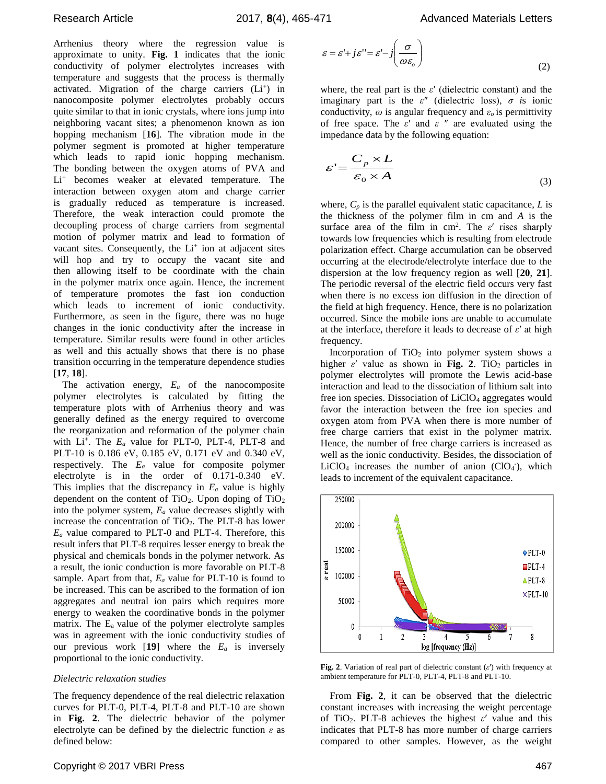Arrhenius theory where the regression value is approximate to unity. **Fig. 1** indicates that the ionic conductivity of polymer electrolytes increases with temperature and suggests that the process is thermally activated. Migration of the charge carriers (Li+) in nanocomposite polymer electrolytes probably occurs quite similar to that in ionic crystals, where ions jump into neighboring vacant sites; a phenomenon known as ion hopping mechanism [**16**]. The vibration mode in the polymer segment is promoted at higher temperature which leads to rapid ionic hopping mechanism. The bonding between the oxygen atoms of PVA and Li<sup>+</sup> becomes weaker at elevated temperature. The interaction between oxygen atom and charge carrier is gradually reduced as temperature is increased. Therefore, the weak interaction could promote the decoupling process of charge carriers from segmental motion of polymer matrix and lead to formation of vacant sites. Consequently, the  $Li<sup>+</sup>$  ion at adjacent sites will hop and try to occupy the vacant site and then allowing itself to be coordinate with the chain in the polymer matrix once again. Hence, the increment of temperature promotes the fast ion conduction which leads to increment of ionic conductivity. Furthermore, as seen in the figure, there was no huge changes in the ionic conductivity after the increase in temperature. Similar results were found in other articles as well and this actually shows that there is no phase transition occurring in the temperature dependence studies [**17**, **18**]. αστοποιεία in unity. We have the latter in the latter in the latter in the latter in the latter of the latter in the latter of the latter in the latter of the latter in the latter of the latter in the latter of the latte

The activation energy, *E<sup>a</sup>* of the nanocomposite polymer electrolytes is calculated by fitting the temperature plots with of Arrhenius theory and was generally defined as the energy required to overcome the reorganization and reformation of the polymer chain with  $Li^+$ . The  $E_a$  value for PLT-0, PLT-4, PLT-8 and PLT-10 is 0.186 eV, 0.185 eV, 0.171 eV and 0.340 eV, respectively. The *E<sup>a</sup>* value for composite polymer electrolyte is in the order of 0.171-0.340 eV. This implies that the discrepancy in *E<sup>a</sup>* value is highly dependent on the content of  $TiO<sub>2</sub>$ . Upon doping of  $TiO<sub>2</sub>$ into the polymer system, *E<sup>a</sup>* value decreases slightly with increase the concentration of TiO2. The PLT-8 has lower  $E_a$  value compared to PLT-0 and PLT-4. Therefore, this result infers that PLT-8 requires lesser energy to break the physical and chemicals bonds in the polymer network. As a result, the ionic conduction is more favorable on PLT-8 sample. Apart from that, *E<sup>a</sup>* value for PLT-10 is found to be increased. This can be ascribed to the formation of ion aggregates and neutral ion pairs which requires more energy to weaken the coordinative bonds in the polymer matrix. The  $E_a$  value of the polymer electrolyte samples was in agreement with the ionic conductivity studies of our previous work  $[19]$  where the  $E_a$  is inversely proportional to the ionic conductivity.

# *Dielectric relaxation studies*

The frequency dependence of the real dielectric relaxation curves for PLT-0, PLT-4, PLT-8 and PLT-10 are shown in **Fig. 2**. The dielectric behavior of the polymer electrolyte can be defined by the dielectric function *ε* as

$$
\varepsilon = \varepsilon' + j\varepsilon'' = \varepsilon' - j\left(\frac{\sigma}{\omega \varepsilon_o}\right)
$$
\n(2)

where, the real part is the *ε*′ (dielectric constant) and the imaginary part is the *ε*″ (dielectric loss), *σ i*s ionic conductivity,  $\omega$  is angular frequency and  $\varepsilon$ <sup>*o*</sup> is permittivity of free space. The *ε*′ and *ε* ″ are evaluated using the impedance data by the following equation:

$$
\varepsilon' = \frac{C_p \times L}{\varepsilon_0 \times A} \tag{3}
$$

where,  $C_p$  is the parallel equivalent static capacitance,  $L$  is the thickness of the polymer film in cm and *A* is the surface area of the film in cm<sup>2</sup> . The *ε*′ rises sharply towards low frequencies which is resulting from electrode polarization effect. Charge accumulation can be observed occurring at the electrode/electrolyte interface due to the dispersion at the low frequency region as well [**20**, **21**]. The periodic reversal of the electric field occurs very fast when there is no excess ion diffusion in the direction of the field at high frequency. Hence, there is no polarization occurred. Since the mobile ions are unable to accumulate at the interface, therefore it leads to decrease of *ε*′ at high frequency.

Incorporation of  $TiO<sub>2</sub>$  into polymer system shows a higher  $\varepsilon'$  value as shown in Fig. 2. TiO<sub>2</sub> particles in polymer electrolytes will promote the Lewis acid-base interaction and lead to the dissociation of lithium salt into free ion species. Dissociation of LiClO<sub>4</sub> aggregates would favor the interaction between the free ion species and oxygen atom from PVA when there is more number of free charge carriers that exist in the polymer matrix. Hence, the number of free charge carriers is increased as well as the ionic conductivity. Besides, the dissociation of LiClO<sub>4</sub> increases the number of anion  $(CIO<sub>4</sub>)$ , which leads to increment of the equivalent capacitance.



**Fig. 2**. Variation of real part of dielectric constant (*ε*′) with frequency at ambient temperature for PLT-0, PLT-4, PLT-8 and PLT-10.

From **Fig. 2**, it can be observed that the dielectric constant increases with increasing the weight percentage of TiO2. PLT-8 achieves the highest *ε*′ value and this indicates that PLT-8 has more number of charge carriers compared to other samples. However, as the weight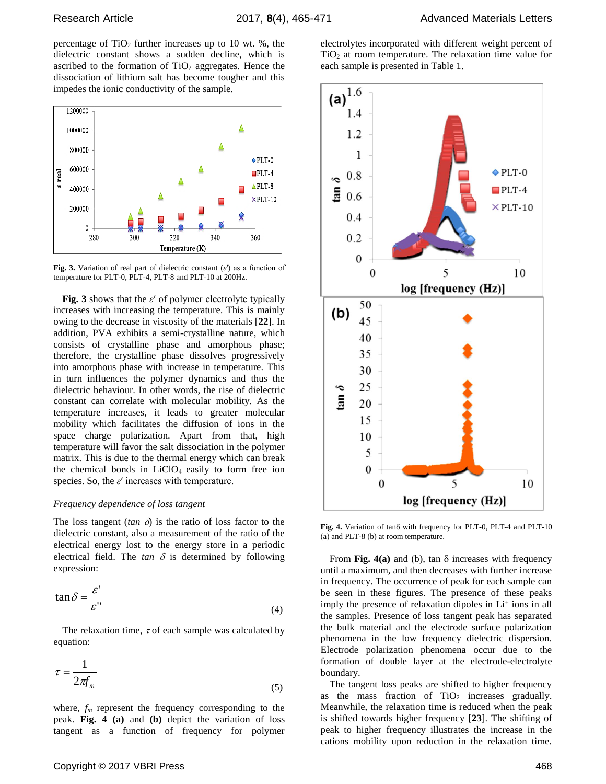percentage of  $TiO<sub>2</sub>$  further increases up to 10 wt. %, the dielectric constant shows a sudden decline, which is ascribed to the formation of  $TiO<sub>2</sub>$  aggregates. Hence the dissociation of lithium salt has become tougher and this impedes the ionic conductivity of the sample.



**Fig. 3.** Variation of real part of dielectric constant (*ε*′) as a function of temperature for PLT-0, PLT-4, PLT-8 and PLT-10 at 200Hz.

**Fig. 3** shows that the *ε*′ of polymer electrolyte typically increases with increasing the temperature. This is mainly owing to the decrease in viscosity of the materials [**22**]. In addition, PVA exhibits a semi-crystalline nature, which consists of crystalline phase and amorphous phase; therefore, the crystalline phase dissolves progressively into amorphous phase with increase in temperature. This in turn influences the polymer dynamics and thus the dielectric behaviour. In other words, the rise of dielectric constant can correlate with molecular mobility. As the temperature increases, it leads to greater molecular mobility which facilitates the diffusion of ions in the space charge polarization. Apart from that, high temperature will favor the salt dissociation in the polymer matrix. This is due to the thermal energy which can break the chemical bonds in  $LiClO<sub>4</sub>$  easily to form free ion species. So, the *ε*′ increases with temperature.

# *Frequency dependence of loss tangent*

The loss tangent ( $tan \delta$ ) is the ratio of loss factor to the dielectric constant, also a measurement of the ratio of the electrical energy lost to the energy store in a periodic electrical field. The  $tan \delta$  is determined by following expression:

$$
\tan \delta = \frac{\varepsilon'}{\varepsilon''}
$$
 (4)

The relaxation time,  $\tau$  of each sample was calculated by equation:

$$
\tau = \frac{1}{2\pi f_m} \tag{5}
$$

where, *f<sup>m</sup>* represent the frequency corresponding to the peak. **Fig. 4 (a)** and **(b)** depict the variation of loss tangent as a function of frequency for polymer

electrolytes incorporated with different weight percent of  $TiO<sub>2</sub>$  at room temperature. The relaxation time value for each sample is presented in Table 1.



Fig. 4. Variation of tano with frequency for PLT-0, PLT-4 and PLT-10 (a) and PLT-8 (b) at room temperature.

From **Fig. 4(a)** and (b), tan  $\delta$  increases with frequency until a maximum, and then decreases with further increase in frequency. The occurrence of peak for each sample can be seen in these figures. The presence of these peaks imply the presence of relaxation dipoles in Li<sup>+</sup> ions in all the samples. Presence of loss tangent peak has separated the bulk material and the electrode surface polarization phenomena in the low frequency dielectric dispersion. Electrode polarization phenomena occur due to the formation of double layer at the electrode-electrolyte boundary.

The tangent loss peaks are shifted to higher frequency as the mass fraction of  $TiO<sub>2</sub>$  increases gradually. Meanwhile, the relaxation time is reduced when the peak is shifted towards higher frequency [**23**]. The shifting of peak to higher frequency illustrates the increase in the cations mobility upon reduction in the relaxation time.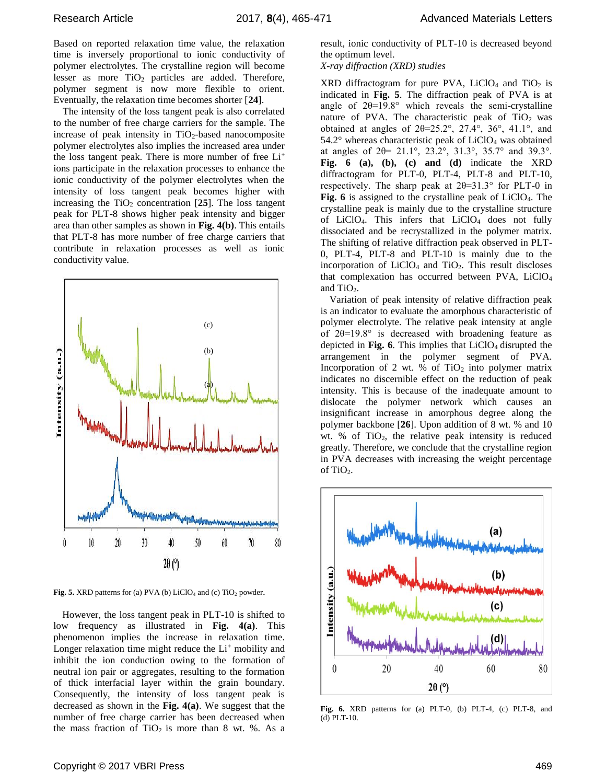Based on reported relaxation time value, the relaxation time is inversely proportional to ionic conductivity of polymer electrolytes. The crystalline region will become lesser as more  $TiO<sub>2</sub>$  particles are added. Therefore, polymer segment is now more flexible to orient. Eventually, the relaxation time becomes shorter [**24**].

The intensity of the loss tangent peak is also correlated to the number of free charge carriers for the sample. The increase of peak intensity in  $TiO<sub>2</sub>$ -based nanocomposite polymer electrolytes also implies the increased area under the loss tangent peak. There is more number of free Li<sup>+</sup> ions participate in the relaxation processes to enhance the ionic conductivity of the polymer electrolytes when the intensity of loss tangent peak becomes higher with increasing the  $TiO<sub>2</sub>$  concentration  $[25]$ . The loss tangent peak for PLT-8 shows higher peak intensity and bigger area than other samples as shown in **Fig. 4(b)**. This entails that PLT-8 has more number of free charge carriers that contribute in relaxation processes as well as ionic conductivity value.



Fig. 5. XRD patterns for (a) PVA (b) LiClO<sub>4</sub> and (c) TiO<sub>2</sub> powder.

However, the loss tangent peak in PLT-10 is shifted to low frequency as illustrated in **Fig. 4(a)**. This phenomenon implies the increase in relaxation time. Longer relaxation time might reduce the Li<sup>+</sup> mobility and inhibit the ion conduction owing to the formation of neutral ion pair or aggregates, resulting to the formation of thick interfacial layer within the grain boundary. Consequently, the intensity of loss tangent peak is decreased as shown in the **Fig. 4(a)**. We suggest that the number of free charge carrier has been decreased when the mass fraction of  $TiO<sub>2</sub>$  is more than 8 wt. %. As a

result, ionic conductivity of PLT-10 is decreased beyond the optimum level.

*X-ray diffraction (XRD) studies*

XRD diffractogram for pure PVA,  $LiClO<sub>4</sub>$  and TiO<sub>2</sub> is indicated in **Fig. 5**. The diffraction peak of PVA is at angle of  $2\theta=19.8^\circ$  which reveals the semi-crystalline nature of PVA. The characteristic peak of  $TiO<sub>2</sub>$  was obtained at angles of  $2\theta = 25.2^\circ$ ,  $27.4^\circ$ ,  $36^\circ$ ,  $41.1^\circ$ , and  $54.2^{\circ}$  whereas characteristic peak of LiClO<sub>4</sub> was obtained at angles of 2θ= 21.1°, 23.2°, 31.3°, 35.7° and 39.3°. **Fig. 6 (a), (b), (c) and (d)** indicate the XRD diffractogram for PLT-0, PLT-4, PLT-8 and PLT-10, respectively. The sharp peak at  $2\theta = 31.3^{\circ}$  for PLT-0 in Fig. 6 is assigned to the crystalline peak of LiClO<sub>4</sub>. The crystalline peak is mainly due to the crystalline structure of LiClO4. This infers that LiClO<sup>4</sup> does not fully dissociated and be recrystallized in the polymer matrix. The shifting of relative diffraction peak observed in PLT-0, PLT-4, PLT-8 and PLT-10 is mainly due to the incorporation of LiClO<sup>4</sup> and TiO2. This result discloses that complexation has occurred between PVA, LiClO<sub>4</sub> and TiO<sub>2</sub>.

Variation of peak intensity of relative diffraction peak is an indicator to evaluate the amorphous characteristic of polymer electrolyte. The relative peak intensity at angle of  $2\theta=19.8^\circ$  is decreased with broadening feature as depicted in **Fig. 6**. This implies that  $LiClO<sub>4</sub>$  disrupted the arrangement in the polymer segment of PVA. Incorporation of 2 wt. % of  $TiO<sub>2</sub>$  into polymer matrix indicates no discernible effect on the reduction of peak intensity. This is because of the inadequate amount to dislocate the polymer network which causes an insignificant increase in amorphous degree along the polymer backbone [**26**]. Upon addition of 8 wt. % and 10 wt. % of  $TiO<sub>2</sub>$ , the relative peak intensity is reduced greatly. Therefore, we conclude that the crystalline region in PVA decreases with increasing the weight percentage of TiO<sub>2</sub>.



**Fig. 6.** XRD patterns for (a) PLT-0, (b) PLT-4, (c) PLT-8, and (d) PLT-10.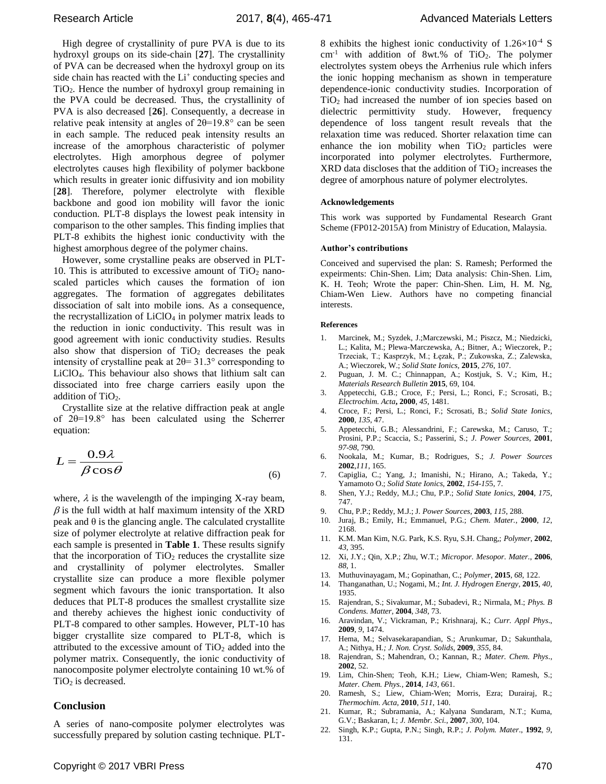Research Article 2017, **8**(4), 465-471 Advanced Materials Letters

High degree of crystallinity of pure PVA is due to its hydroxyl groups on its side-chain [**27**]. The crystallinity of PVA can be decreased when the hydroxyl group on its side chain has reacted with the  $Li^+$  conducting species and TiO2. Hence the number of hydroxyl group remaining in the PVA could be decreased. Thus, the crystallinity of PVA is also decreased [**26**]. Consequently, a decrease in relative peak intensity at angles of  $2\theta = 19.8^\circ$  can be seen in each sample. The reduced peak intensity results an increase of the amorphous characteristic of polymer electrolytes. High amorphous degree of polymer electrolytes causes high flexibility of polymer backbone which results in greater ionic diffusivity and ion mobility [**28**]. Therefore, polymer electrolyte with flexible backbone and good ion mobility will favor the ionic conduction. PLT-8 displays the lowest peak intensity in comparison to the other samples. This finding implies that PLT-8 exhibits the highest ionic conductivity with the highest amorphous degree of the polymer chains.

However, some crystalline peaks are observed in PLT-10. This is attributed to excessive amount of  $TiO<sub>2</sub>$  nanoscaled particles which causes the formation of ion aggregates. The formation of aggregates debilitates dissociation of salt into mobile ions. As a consequence, the recrystallization of  $LiClO<sub>4</sub>$  in polymer matrix leads to the reduction in ionic conductivity. This result was in good agreement with ionic conductivity studies. Results also show that dispersion of  $TiO<sub>2</sub>$  decreases the peak intensity of crystalline peak at  $2\theta = 31.3^\circ$  corresponding to LiClO4. This behaviour also shows that lithium salt can dissociated into free charge carriers easily upon the addition of  $TiO<sub>2</sub>$ .

Crystallite size at the relative diffraction peak at angle of 2θ=19.8° has been calculated using the Scherrer equation:

$$
L = \frac{0.9\lambda}{\beta \cos \theta} \tag{6}
$$

where,  $\lambda$  is the wavelength of the impinging X-ray beam,  $\beta$  is the full width at half maximum intensity of the XRD peak and θ is the glancing angle. The calculated crystallite size of polymer electrolyte at relative diffraction peak for each sample is presented in **Table 1**. These results signify that the incorporation of  $TiO<sub>2</sub>$  reduces the crystallite size and crystallinity of polymer electrolytes. Smaller crystallite size can produce a more flexible polymer segment which favours the ionic transportation. It also deduces that PLT-8 produces the smallest crystallite size and thereby achieves the highest ionic conductivity of PLT-8 compared to other samples. However, PLT-10 has bigger crystallite size compared to PLT-8, which is attributed to the excessive amount of  $TiO<sub>2</sub>$  added into the polymer matrix. Consequently, the ionic conductivity of nanocomposite polymer electrolyte containing 10 wt.% of TiO<sub>2</sub> is decreased.

# **Conclusion**

A series of nano-composite polymer electrolytes was successfully prepared by solution casting technique. PLT- 8 exhibits the highest ionic conductivity of  $1.26 \times 10^{-4}$  S  $cm<sup>-1</sup>$  with addition of 8wt.% of TiO<sub>2</sub>. The polymer electrolytes system obeys the Arrhenius rule which infers the ionic hopping mechanism as shown in temperature dependence-ionic conductivity studies. Incorporation of  $TiO<sub>2</sub>$  had increased the number of ion species based on dielectric permittivity study. However, frequency dependence of loss tangent result reveals that the relaxation time was reduced. Shorter relaxation time can enhance the ion mobility when  $TiO<sub>2</sub>$  particles were incorporated into polymer electrolytes. Furthermore,  $XRD$  data discloses that the addition of  $TiO<sub>2</sub>$  increases the degree of amorphous nature of polymer electrolytes.

# **Acknowledgements**

This work was supported by Fundamental Research Grant Scheme (FP012-2015A) from Ministry of Education, Malaysia.

# **Author's contributions**

Conceived and supervised the plan: S. Ramesh; Performed the expeirments: Chin-Shen. Lim; Data analysis: Chin-Shen. Lim, K. H. Teoh; Wrote the paper: Chin-Shen. Lim, H. M. Ng, Chiam**-**Wen Liew. Authors have no competing financial interests.

#### **References**

- 1. Marcinek, M.; Syzdek, J.;Marczewski, M.; Piszcz, M.; Niedzicki, L.; Kalita, M.; Plewa-Marczewska, A.; Bitner, A.; Wieczorek, P.; Trzeciak, T.; Kasprzyk, M.; Łęzak, P.; Zukowska, Z.; Zalewska, A.; Wieczorek, W.; *Solid State Ionics,* **2015**, *276*, 107.
- 2. Puguan, J. M. C.; Chinnappan, A.; Kostjuk, S. V.; Kim, H.; *Materials Research Bulletin* **2015**, 69, 104.
- 3. Appetecchi, G.B.; Croce, F.; Persi, L.; Ronci, F.; Scrosati, B.; *Electrochim. Acta***, 2000**, *45*, 1481.
- 4. Croce, F.; Persi, L.; Ronci, F.; Scrosati, B.; *Solid State Ionics,* **2000**, *135*, 47.
- 5. Appetecchi, G.B.; Alessandrini, F.; Carewska, M.; Caruso, T.; Prosini, P.P.; Scaccia, S.; Passerini, S.; *J. Power Sources,* **2001**, *97-98*, 790.
- 6. Nookala, M.; Kumar, B.; Rodrigues, S.; *J. Power Sources* **2002**,*111*, 165.
- 7. Capiglia, C.; Yang, J.; Imanishi, N.; Hirano, A.; Takeda, Y.; Yamamoto O.; *Solid State Ionics,* **2002**, *154-15*5, 7.
- 8. Shen, Y.J.; Reddy, M.J.; Chu, P.P.; *Solid State Ionics*, **2004**, *175*, 747.
- 9. Chu, P.P.; Reddy, M.J.; J*. Power Sources*, **2003**, *115*, 288.
- 10. Juraj, B.; Emily, H.; Emmanuel, P.G.; *Chem. Mater.*, **2000**, *12*, 2168.
- 11. K.M. Man Kim, N.G. Park, K.S. Ryu, S.H. Chang,; *Polymer*, **2002**, *43*, 395.
- 12. Xi, J.Y.; Qin, X.P.; Zhu, W.T.; *Micropor. Mesopor. Mater.*, **2006**, *88*, 1.
- 13. Muthuvinayagam, M.; Gopinathan, C.; *Polymer*, **2015**, *68*, 122.
- 14. Thanganathan, U.; Nogami, M.; *Int. J. Hydrogen Energy*, **2015**, *40*, 1935.
- 15. Rajendran, S.; Sivakumar, M.; Subadevi, R.; Nirmala, M.; *Phys. B Condens. Matter*, **2004**, *348*, 73.
- 16. Aravindan, V.; Vickraman, P.; Krishnaraj, K.; *Curr. Appl Phys*., **2009**, *9*, 1474.
- 17. Hema, M.; Selvasekarapandian, S.; Arunkumar, D.; Sakunthala, A.; Nithya, H*.; J. Non. Cryst. Solids*, **2009**, *355*, 84.
- 18. Rajendran, S.; Mahendran, O.; Kannan, R.; *Mater. Chem. Phys*., **2002**, 52.
- 19. Lim, Chin-Shen; Teoh, K.H.; Liew, Chiam-Wen; Ramesh, S.; *Mater. Chem. Phys.*, **2014**, *143*, 661.
- 20. Ramesh, S.; Liew, Chiam-Wen; Morris, Ezra; Durairaj, R.; *Thermochim. Acta*, **2010**, *511*, 140.
- 21. Kumar, R.; Subramania, A.; Kalyana Sundaram, N.T.; Kuma, G.V.; Baskaran, I.; *J. Membr. Sci.*, **2007**, *300*, 104.
- 22. Singh, K.P.; Gupta, P.N.; Singh, R.P.; *J. Polym. Mater*., **1992**, *9*, 131.